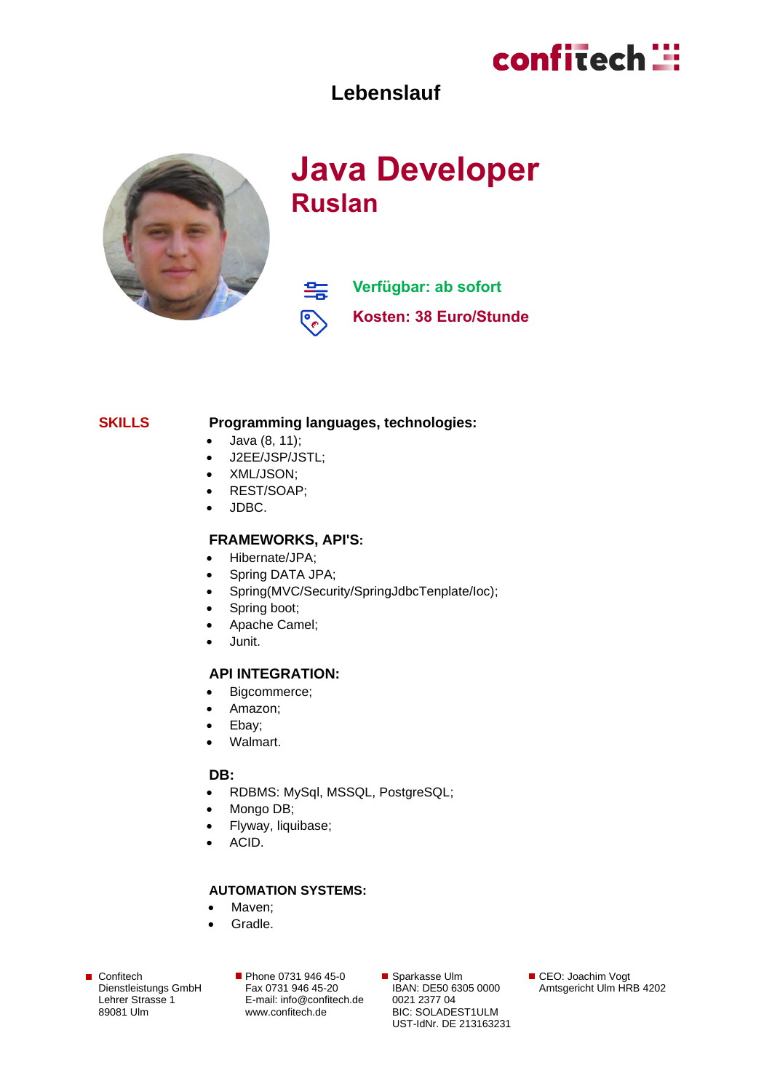

### **Lebenslauf**



# **Java Developer Ruslan**

**Verfügbar: ab sofort** 雲 **Kosten: 38 Euro/Stunde**

#### **SKILLS Programming languages, technologies:**

- Java (8, 11);
- J2EE/JSP/JSTL;
- XML/JSON;
- REST/SOAP;
- JDBC.

#### **FRAMEWORKS, API'S:**

- Hibernate/JPA;
- Spring DATA JPA;
- Spring(MVC/Security/SpringJdbcTenplate/Ioc);
- Spring boot;
- Apache Camel;
- Junit.

#### **API INTEGRATION:**

- Bigcommerce;
- Amazon;
- Ebay;
- Walmart.

#### **DB:**

- RDBMS: MySql, MSSQL, PostgreSQL;
- Mongo DB;
- Flyway, liquibase;
- ACID.

### **AUTOMATION SYSTEMS:**

- Maven:
- Gradle.

■ Confitech Dienstleistungs GmbH Lehrer Strasse 1 89081 Ulm

Phone 0731 946 45-0 Fax 0731 946 45-20 E-mail[: info@confitech.de](mailto:info@confitech.de) www.confitech.de

■ Sparkasse Ulm IBAN: DE50 6305 0000 0021 2377 04 BIC: SOLADEST1ULM UST-IdNr. DE 213163231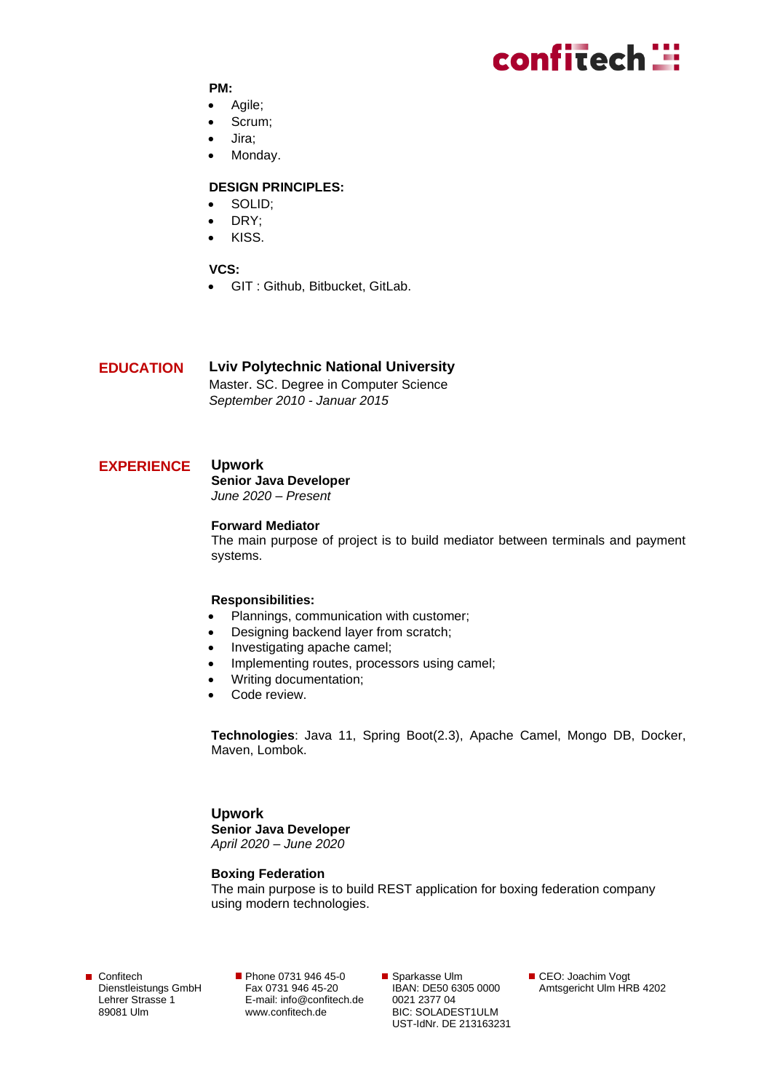# confitech ::

#### **PM:**

- Agile;
- Scrum;
- Jira;
- Monday.

#### **DESIGN PRINCIPLES:**

- SOLID;
- DRY;
- KISS.

#### **VCS:**

• GIT : Github, Bitbucket, GitLab.

#### **EDUCATION Lviv Polytechnic National University**

Master. SC. Degree in Computer Science *September 2010 - Januar 2015*

#### **EXPERIENCE**

#### **Upwork**

**Senior Java Developer** *June 2020 – Present*

#### **Forward Mediator**

The main purpose of project is to build mediator between terminals and payment systems.

#### **Responsibilities:**

- Plannings, communication with customer;
- Designing backend layer from scratch;
- Investigating apache camel;
- Implementing routes, processors using camel;
- Writing documentation;
- Code review.

**Technologies**: Java 11, Spring Boot(2.3), Apache Camel, Mongo DB, Docker, Maven, Lombok.

**Upwork Senior Java Developer** *April 2020 – June 2020*

#### **Boxing Federation**

The main purpose is to build REST application for boxing federation company using modern technologies.

■ Confitech Dienstleistungs GmbH Lehrer Strasse 1 89081 Ulm

**Phone 0731 946 45-0** Fax 0731 946 45-20 E-mail[: info@confitech.de](mailto:info@confitech.de) www.confitech.de

■ Sparkasse Ulm IBAN: DE50 6305 0000 0021 2377 04 BIC: SOLADEST1ULM UST-IdNr. DE 213163231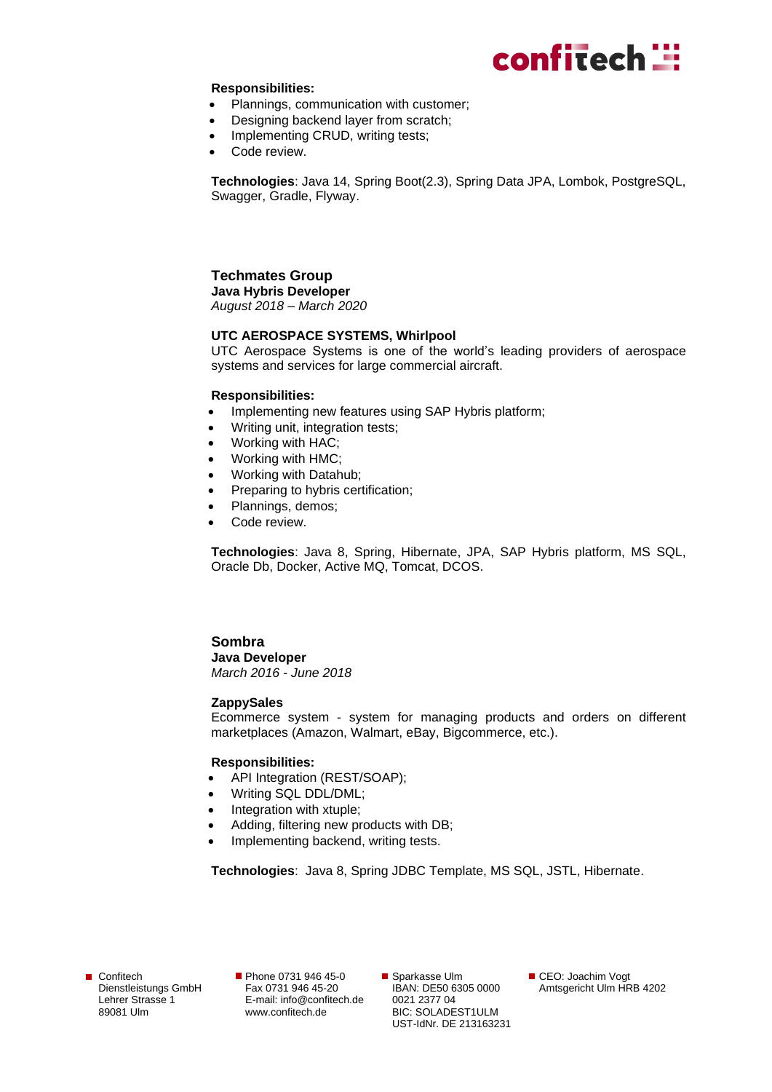

#### **Responsibilities:**

- Plannings, communication with customer;
- Designing backend layer from scratch;
- Implementing CRUD, writing tests;
- Code review.

**Technologies**: Java 14, Spring Boot(2.3), Spring Data JPA, Lombok, PostgreSQL, Swagger, Gradle, Flyway.

# **Techmates Group**

**Java Hybris Developer** *August 2018 – March 2020*

#### **UTC AEROSPACE SYSTEMS, Whirlpool**

UTC Aerospace Systems is one of the world's leading providers of aerospace systems and services for large commercial aircraft.

#### **Responsibilities:**

- Implementing new features using SAP Hybris platform;
- Writing unit, integration tests;
- Working with HAC;
- Working with HMC;
- Working with Datahub;
- Preparing to hybris certification;
- Plannings, demos;
- Code review.

**Technologies**: Java 8, Spring, Hibernate, JPA, SAP Hybris platform, MS SQL, Oracle Db, Docker, Active MQ, Tomcat, DCOS.

### **Sombra Java Developer**

*March 2016 - June 2018*

#### **ZappySales**

Ecommerce system - system for managing products and orders on different marketplaces (Amazon, Walmart, eBay, Bigcommerce, etc.).

#### **Responsibilities:**

- API Integration (REST/SOAP);
- Writing SQL DDL/DML;
- Integration with xtuple;
- Adding, filtering new products with DB;
- Implementing backend, writing tests.

**Technologies**: Java 8, Spring JDBC Template, MS SQL, JSTL, Hibernate.

**Phone 0731 946 45-0** Fax 0731 946 45-20 E-mail[: info@confitech.de](mailto:info@confitech.de) www.confitech.de

■ Sparkasse Ulm IBAN: DE50 6305 0000 0021 2377 04 BIC: SOLADEST1ULM UST-IdNr. DE 213163231